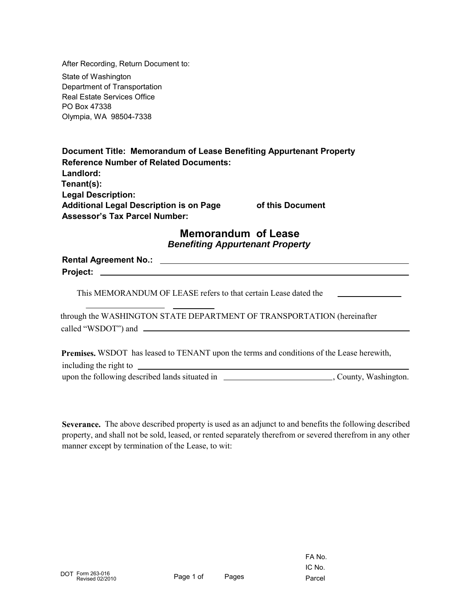After Recording, Return Document to:

State of Washington Department of Transportation Real Estate Services Office PO Box 47338 Olympia, WA 98504-7338

| Document Title: Memorandum of Lease Benefiting Appurtenant Property |                  |
|---------------------------------------------------------------------|------------------|
| <b>Reference Number of Related Documents:</b>                       |                  |
| Landlord:                                                           |                  |
| Tenant(s):                                                          |                  |
| <b>Legal Description:</b>                                           |                  |
| <b>Additional Legal Description is on Page</b>                      | of this Document |
| <b>Assessor's Tax Parcel Number:</b>                                |                  |

## **Memorandum of Lease** *Benefiting Appurtenant Property*

**Rental Agreement No.: Project:**

This MEMORANDUM OF LEASE refers to that certain Lease dated the

through the WASHINGTON STATE DEPARTMENT OF TRANSPORTATION (hereinafter called "WSDOT") and

**Premises.** WSDOT has leased to TENANT upon the terms and conditions of the Lease herewith,

including the right to upon the following described lands situated in \_\_\_\_\_\_\_\_\_\_\_\_\_\_\_\_\_\_\_\_\_\_\_\_\_\_\_\_, County, Washington.

**Severance.** The above described property is used as an adjunct to and benefits the following described property, and shall not be sold, leased, or rented separately therefrom or severed therefrom in any other manner except by termination of the Lease, to wit: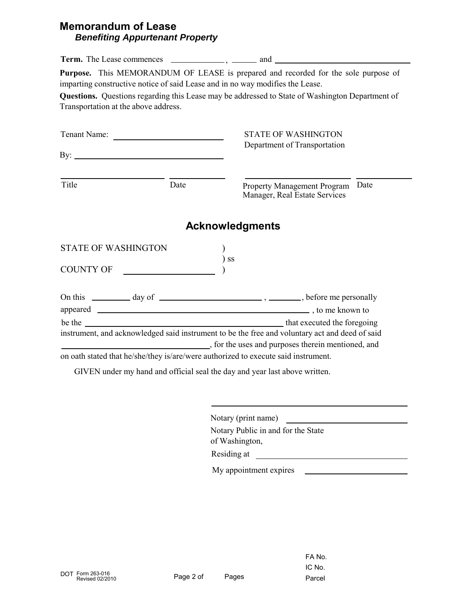## **Memorandum of Lease** *Benefiting Appurtenant Property*

|                                      |      | Purpose. This MEMORANDUM OF LEASE is prepared and recorded for the sole purpose of<br>imparting constructive notice of said Lease and in no way modifies the Lease. |
|--------------------------------------|------|---------------------------------------------------------------------------------------------------------------------------------------------------------------------|
| Transportation at the above address. |      | Questions. Questions regarding this Lease may be addressed to State of Washington Department of                                                                     |
|                                      |      | <b>STATE OF WASHINGTON</b>                                                                                                                                          |
|                                      |      | Department of Transportation                                                                                                                                        |
|                                      |      |                                                                                                                                                                     |
| Title                                | Date | Property Management Program Date<br>Manager, Real Estate Services                                                                                                   |
|                                      |      | <b>Acknowledgments</b>                                                                                                                                              |
| STATE OF WASHINGTON                  |      |                                                                                                                                                                     |
| COUNTY OF                            |      | <b>SS</b>                                                                                                                                                           |
|                                      |      |                                                                                                                                                                     |
|                                      |      |                                                                                                                                                                     |
|                                      |      | instrument, and acknowledged said instrument to be the free and voluntary act and deed of said                                                                      |
|                                      |      | for the uses and purposes therein mentioned, and                                                                                                                    |
|                                      |      | on oath stated that he/she/they is/are/were authorized to execute said instrument.                                                                                  |
|                                      |      | GIVEN under my hand and official seal the day and year last above written.                                                                                          |

Notary (print name)

Notary Public in and for the State of Washington,

Residing at

My appointment expires